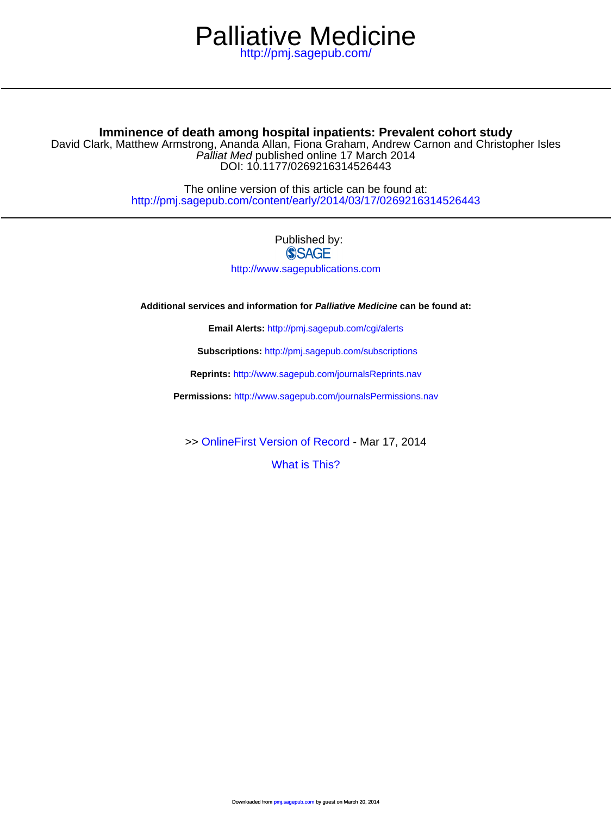# <http://pmj.sagepub.com/> Palliative Medicine

# **Imminence of death among hospital inpatients: Prevalent cohort study**

DOI: 10.1177/0269216314526443 Palliat Med published online 17 March 2014 David Clark, Matthew Armstrong, Ananda Allan, Fiona Graham, Andrew Carnon and Christopher Isles

> <http://pmj.sagepub.com/content/early/2014/03/17/0269216314526443> The online version of this article can be found at:

# Published by:<br>
SAGE

<http://www.sagepublications.com>

**Additional services and information for Palliative Medicine can be found at:**

**Email Alerts:** <http://pmj.sagepub.com/cgi/alerts>

**Subscriptions:** <http://pmj.sagepub.com/subscriptions>

**Reprints:** <http://www.sagepub.com/journalsReprints.nav>

**Permissions:** <http://www.sagepub.com/journalsPermissions.nav>

>> [OnlineFirst Version of Record -](http://pmj.sagepub.com/content/early/2014/03/17/0269216314526443.full.pdf) Mar 17, 2014

[What is This?](http://online.sagepub.com/site/sphelp/vorhelp.xhtml)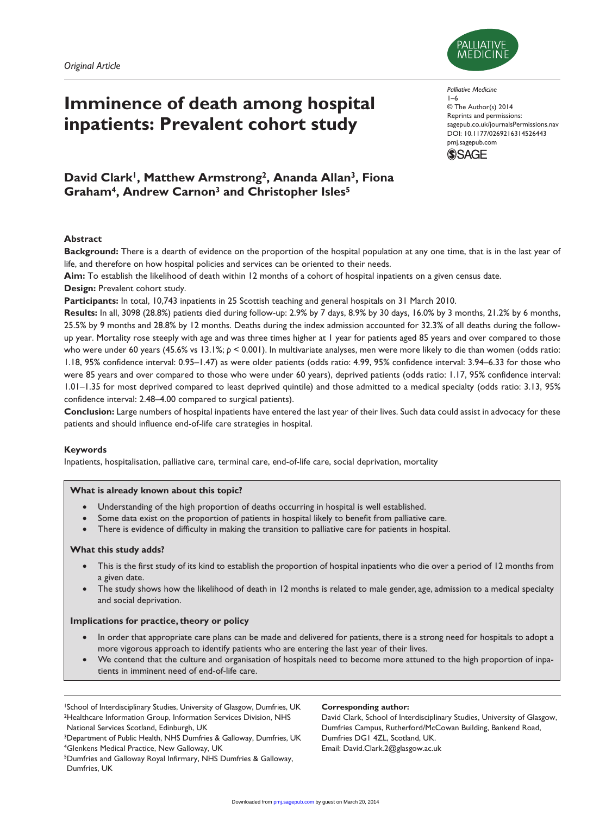

# **Imminence of death among hospital inpatients: Prevalent cohort study**

**David Clark1, Matthew Armstrong2, Ananda Allan3, Fiona Graham4, Andrew Carnon3 and Christopher Isles5**

### **Abstract**

**Background:** There is a dearth of evidence on the proportion of the hospital population at any one time, that is in the last year of life, and therefore on how hospital policies and services can be oriented to their needs.

**Aim:** To establish the likelihood of death within 12 months of a cohort of hospital inpatients on a given census date. **Design:** Prevalent cohort study.

**Participants:** In total, 10,743 inpatients in 25 Scottish teaching and general hospitals on 31 March 2010.

**Results:** In all, 3098 (28.8%) patients died during follow-up: 2.9% by 7 days, 8.9% by 30 days, 16.0% by 3 months, 21.2% by 6 months, 25.5% by 9 months and 28.8% by 12 months. Deaths during the index admission accounted for 32.3% of all deaths during the followup year. Mortality rose steeply with age and was three times higher at 1 year for patients aged 85 years and over compared to those who were under 60 years (45.6% vs 13.1%;  $p < 0.001$ ). In multivariate analyses, men were more likely to die than women (odds ratio: 1.18, 95% confidence interval: 0.95–1.47) as were older patients (odds ratio: 4.99, 95% confidence interval: 3.94–6.33 for those who were 85 years and over compared to those who were under 60 years), deprived patients (odds ratio: 1.17, 95% confidence interval: 1.01–1.35 for most deprived compared to least deprived quintile) and those admitted to a medical specialty (odds ratio: 3.13, 95% confidence interval: 2.48–4.00 compared to surgical patients).

**Conclusion:** Large numbers of hospital inpatients have entered the last year of their lives. Such data could assist in advocacy for these patients and should influence end-of-life care strategies in hospital.

#### **Keywords**

Inpatients, hospitalisation, palliative care, terminal care, end-of-life care, social deprivation, mortality

#### **What is already known about this topic?**

- Understanding of the high proportion of deaths occurring in hospital is well established.
- Some data exist on the proportion of patients in hospital likely to benefit from palliative care.
- There is evidence of difficulty in making the transition to palliative care for patients in hospital.

#### **What this study adds?**

- This is the first study of its kind to establish the proportion of hospital inpatients who die over a period of 12 months from a given date.
- The study shows how the likelihood of death in 12 months is related to male gender, age, admission to a medical specialty and social deprivation.

#### **Implications for practice, theory or policy**

- In order that appropriate care plans can be made and delivered for patients, there is a strong need for hospitals to adopt a more vigorous approach to identify patients who are entering the last year of their lives.
- We contend that the culture and organisation of hospitals need to become more attuned to the high proportion of inpatients in imminent need of end-of-life care.

<sup>1</sup>School of Interdisciplinary Studies, University of Glasgow, Dumfries, UK 2Healthcare Information Group, Information Services Division, NHS National Services Scotland, Edinburgh, UK

3Department of Public Health, NHS Dumfries & Galloway, Dumfries, UK 4Glenkens Medical Practice, New Galloway, UK

5Dumfries and Galloway Royal Infirmary, NHS Dumfries & Galloway, Dumfries, UK

#### **Corresponding author:**

David Clark, School of Interdisciplinary Studies, University of Glasgow, Dumfries Campus, Rutherford/McCowan Building, Bankend Road, Dumfries DG1 4ZL, Scotland, UK. Email: David.Clark.2@glasgow.ac.uk

1–6 © The Author(s) 2014 Reprints and permissions: sagepub.co.uk/journalsPermissions.nav DOI: 10.1177/0269216314526443 pmj.sagepub.com



*Palliative Medicine*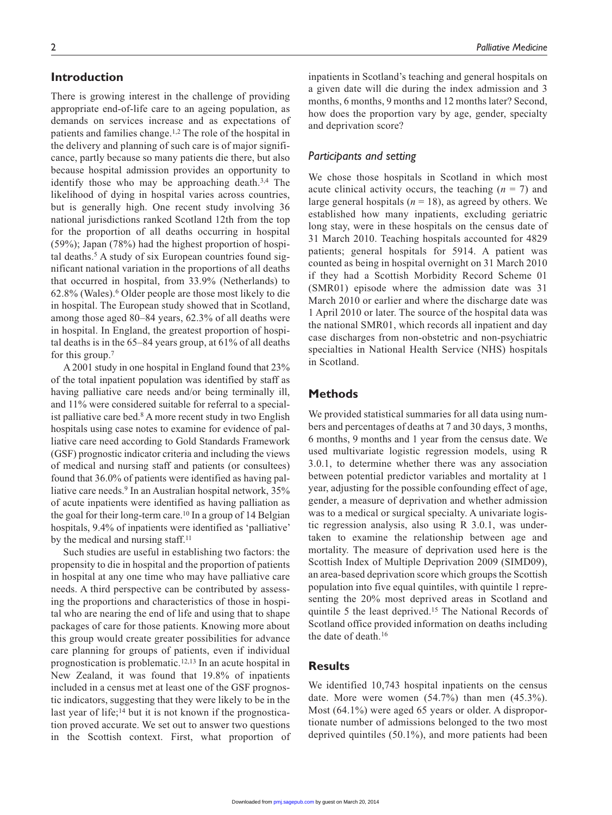# **Introduction**

There is growing interest in the challenge of providing appropriate end-of-life care to an ageing population, as demands on services increase and as expectations of patients and families change.1,2 The role of the hospital in the delivery and planning of such care is of major significance, partly because so many patients die there, but also because hospital admission provides an opportunity to identify those who may be approaching death.<sup>3,4</sup> The likelihood of dying in hospital varies across countries, but is generally high. One recent study involving 36 national jurisdictions ranked Scotland 12th from the top for the proportion of all deaths occurring in hospital (59%); Japan (78%) had the highest proportion of hospital deaths.<sup>5</sup> A study of six European countries found significant national variation in the proportions of all deaths that occurred in hospital, from 33.9% (Netherlands) to 62.8% (Wales).6 Older people are those most likely to die in hospital. The European study showed that in Scotland, among those aged 80–84 years, 62.3% of all deaths were in hospital. In England, the greatest proportion of hospital deaths is in the 65–84 years group, at 61% of all deaths for this group.7

A 2001 study in one hospital in England found that 23% of the total inpatient population was identified by staff as having palliative care needs and/or being terminally ill, and 11% were considered suitable for referral to a specialist palliative care bed.<sup>8</sup> A more recent study in two English hospitals using case notes to examine for evidence of palliative care need according to Gold Standards Framework (GSF) prognostic indicator criteria and including the views of medical and nursing staff and patients (or consultees) found that 36.0% of patients were identified as having palliative care needs.<sup>9</sup> In an Australian hospital network, 35% of acute inpatients were identified as having palliation as the goal for their long-term care.<sup>10</sup> In a group of 14 Belgian hospitals, 9.4% of inpatients were identified as 'palliative' by the medical and nursing staff.<sup>11</sup>

Such studies are useful in establishing two factors: the propensity to die in hospital and the proportion of patients in hospital at any one time who may have palliative care needs. A third perspective can be contributed by assessing the proportions and characteristics of those in hospital who are nearing the end of life and using that to shape packages of care for those patients. Knowing more about this group would create greater possibilities for advance care planning for groups of patients, even if individual prognostication is problematic.12,13 In an acute hospital in New Zealand, it was found that 19.8% of inpatients included in a census met at least one of the GSF prognostic indicators, suggesting that they were likely to be in the last year of life;<sup>14</sup> but it is not known if the prognostication proved accurate. We set out to answer two questions in the Scottish context. First, what proportion of inpatients in Scotland's teaching and general hospitals on a given date will die during the index admission and 3 months, 6 months, 9 months and 12 months later? Second, how does the proportion vary by age, gender, specialty and deprivation score?

## *Participants and setting*

We chose those hospitals in Scotland in which most acute clinical activity occurs, the teaching  $(n = 7)$  and large general hospitals ( $n = 18$ ), as agreed by others. We established how many inpatients, excluding geriatric long stay, were in these hospitals on the census date of 31 March 2010. Teaching hospitals accounted for 4829 patients; general hospitals for 5914. A patient was counted as being in hospital overnight on 31 March 2010 if they had a Scottish Morbidity Record Scheme 01 (SMR01) episode where the admission date was 31 March 2010 or earlier and where the discharge date was 1 April 2010 or later. The source of the hospital data was the national SMR01, which records all inpatient and day case discharges from non-obstetric and non-psychiatric specialties in National Health Service (NHS) hospitals in Scotland.

# **Methods**

We provided statistical summaries for all data using numbers and percentages of deaths at 7 and 30 days, 3 months, 6 months, 9 months and 1 year from the census date. We used multivariate logistic regression models, using R 3.0.1, to determine whether there was any association between potential predictor variables and mortality at 1 year, adjusting for the possible confounding effect of age, gender, a measure of deprivation and whether admission was to a medical or surgical specialty. A univariate logistic regression analysis, also using R 3.0.1, was undertaken to examine the relationship between age and mortality. The measure of deprivation used here is the Scottish Index of Multiple Deprivation 2009 (SIMD09), an area-based deprivation score which groups the Scottish population into five equal quintiles, with quintile 1 representing the 20% most deprived areas in Scotland and quintile 5 the least deprived.15 The National Records of Scotland office provided information on deaths including the date of death.16

# **Results**

We identified 10,743 hospital inpatients on the census date. More were women (54.7%) than men (45.3%). Most (64.1%) were aged 65 years or older. A disproportionate number of admissions belonged to the two most deprived quintiles (50.1%), and more patients had been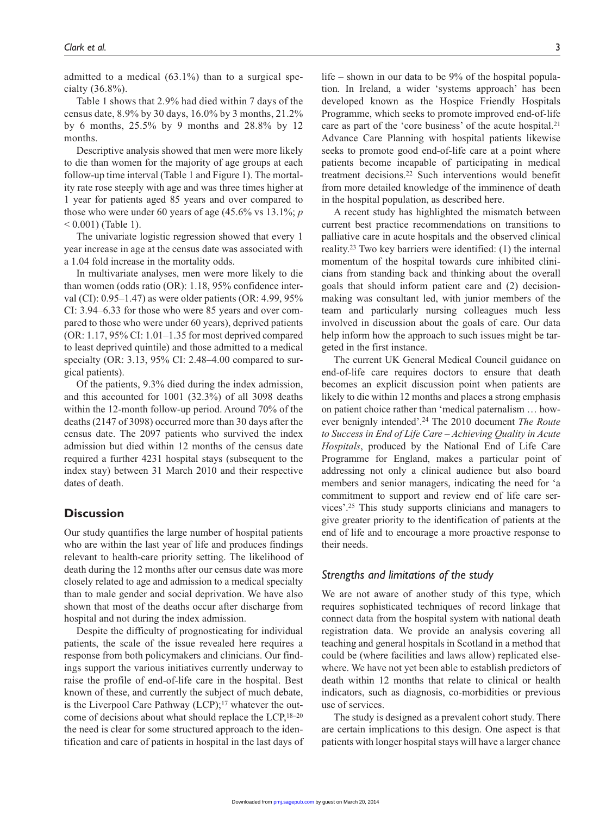admitted to a medical (63.1%) than to a surgical specialty (36.8%).

Table 1 shows that 2.9% had died within 7 days of the census date, 8.9% by 30 days, 16.0% by 3 months, 21.2% by 6 months, 25.5% by 9 months and 28.8% by 12 months.

Descriptive analysis showed that men were more likely to die than women for the majority of age groups at each follow-up time interval (Table 1 and Figure 1). The mortality rate rose steeply with age and was three times higher at 1 year for patients aged 85 years and over compared to those who were under 60 years of age (45.6% vs 13.1%; *p*  $< 0.001$ ) (Table 1).

The univariate logistic regression showed that every 1 year increase in age at the census date was associated with a 1.04 fold increase in the mortality odds.

In multivariate analyses, men were more likely to die than women (odds ratio (OR): 1.18, 95% confidence interval (CI): 0.95–1.47) as were older patients (OR: 4.99, 95% CI: 3.94–6.33 for those who were 85 years and over compared to those who were under 60 years), deprived patients (OR: 1.17, 95% CI: 1.01–1.35 for most deprived compared to least deprived quintile) and those admitted to a medical specialty (OR: 3.13, 95% CI: 2.48–4.00 compared to surgical patients).

Of the patients, 9.3% died during the index admission, and this accounted for 1001 (32.3%) of all 3098 deaths within the 12-month follow-up period. Around 70% of the deaths (2147 of 3098) occurred more than 30 days after the census date. The 2097 patients who survived the index admission but died within 12 months of the census date required a further 4231 hospital stays (subsequent to the index stay) between 31 March 2010 and their respective dates of death.

# **Discussion**

Our study quantifies the large number of hospital patients who are within the last year of life and produces findings relevant to health-care priority setting. The likelihood of death during the 12 months after our census date was more closely related to age and admission to a medical specialty than to male gender and social deprivation. We have also shown that most of the deaths occur after discharge from hospital and not during the index admission.

Despite the difficulty of prognosticating for individual patients, the scale of the issue revealed here requires a response from both policymakers and clinicians. Our findings support the various initiatives currently underway to raise the profile of end-of-life care in the hospital. Best known of these, and currently the subject of much debate, is the Liverpool Care Pathway  $(LCD)^{17}$ , whatever the outcome of decisions about what should replace the LCP,<sup>18–20</sup> the need is clear for some structured approach to the identification and care of patients in hospital in the last days of life – shown in our data to be 9% of the hospital population. In Ireland, a wider 'systems approach' has been developed known as the Hospice Friendly Hospitals Programme, which seeks to promote improved end-of-life care as part of the 'core business' of the acute hospital.<sup>21</sup> Advance Care Planning with hospital patients likewise seeks to promote good end-of-life care at a point where patients become incapable of participating in medical treatment decisions.22 Such interventions would benefit from more detailed knowledge of the imminence of death in the hospital population, as described here.

A recent study has highlighted the mismatch between current best practice recommendations on transitions to palliative care in acute hospitals and the observed clinical reality.23 Two key barriers were identified: (1) the internal momentum of the hospital towards cure inhibited clinicians from standing back and thinking about the overall goals that should inform patient care and (2) decisionmaking was consultant led, with junior members of the team and particularly nursing colleagues much less involved in discussion about the goals of care. Our data help inform how the approach to such issues might be targeted in the first instance.

The current UK General Medical Council guidance on end-of-life care requires doctors to ensure that death becomes an explicit discussion point when patients are likely to die within 12 months and places a strong emphasis on patient choice rather than 'medical paternalism … however benignly intended'.24 The 2010 document *The Route to Success in End of Life Care – Achieving Quality in Acute Hospitals*, produced by the National End of Life Care Programme for England, makes a particular point of addressing not only a clinical audience but also board members and senior managers, indicating the need for 'a commitment to support and review end of life care services'.25 This study supports clinicians and managers to give greater priority to the identification of patients at the end of life and to encourage a more proactive response to their needs.

# *Strengths and limitations of the study*

We are not aware of another study of this type, which requires sophisticated techniques of record linkage that connect data from the hospital system with national death registration data. We provide an analysis covering all teaching and general hospitals in Scotland in a method that could be (where facilities and laws allow) replicated elsewhere. We have not yet been able to establish predictors of death within 12 months that relate to clinical or health indicators, such as diagnosis, co-morbidities or previous use of services.

The study is designed as a prevalent cohort study. There are certain implications to this design. One aspect is that patients with longer hospital stays will have a larger chance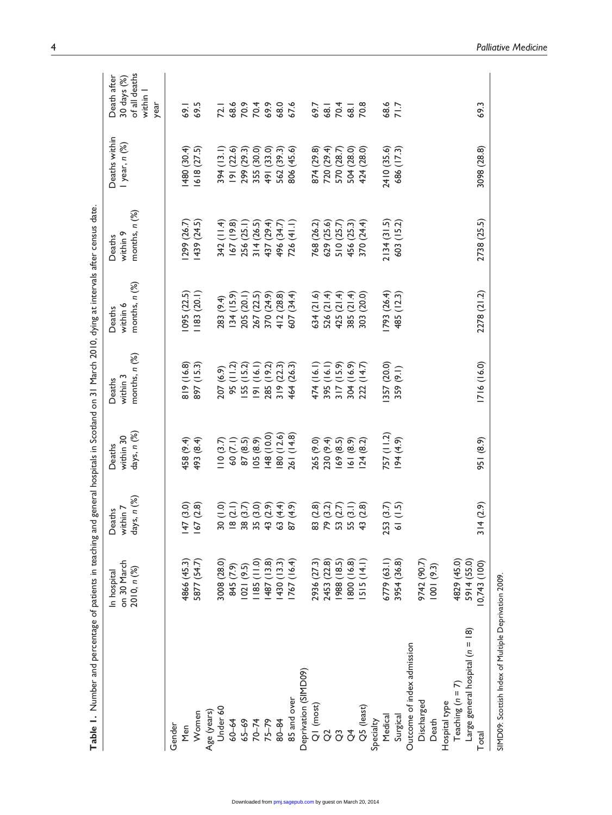| months, n (%)<br>897 (15.3)<br>819 (16.8)<br>464 (26.3)<br>474 (16.1)<br>395 (16.1)<br>317 (15.9)<br>304 (16.9)<br>(14.7)<br>357 (20.0)<br>95 (11.2)<br>155 (15.2)<br> 9  ( 6.1)<br>285 (19.2)<br>319(22.3)<br>207 (6.9)<br>359 (9.1)<br>222<br>days, n (%)<br>148 (10.0)<br>80 (12.6)<br>261 (14.8)<br>757 (11.2)<br>493 (8.4)<br>194 (4.9)<br>458 (9.4)<br>60 (7.1)<br>87(8.5)<br>105(8.9)<br>265 (9.0)<br>230(9.4)<br>124(8.2)<br>110(3.7)<br>161 (8.9)<br>169(8.5)<br>days, n (%)<br>30 (1.0)<br>18 (2.1)<br>18 (3.7)<br>38 (3.9)<br>35 (4.9)<br>87 (4.9)<br>$147(3.0)$<br>$167(2.8)$<br>83 (2.8)<br>79 (3.2)<br>53 (3.1)<br>55 (3.8)<br>43 (2.8)<br>253 (3.7)<br>61 (1.5)<br>(2.8)<br>767 (16.4)<br>5877 (54.7)<br>$(0.11)$ 58<br>1487(13.8)<br>2453 (22.8)<br>988 (18.5)<br>800 (16.8)<br>515(14.1)<br>6779 (63.1)<br>3954 (36.8)<br>9742 (90.7)<br>4829 (45.0)<br>4866 (45.3)<br>430 (13.3)<br>3008 (28.0)<br>2936 (27.3)<br>1001(9.3)<br>845 (7.9)<br>1021(9.5)<br>2010, n (%)<br>Outcome of index admission<br>Deprivation (SIMD09)<br>Teaching $(n = 7)$<br>85 and over<br>Discharged<br>Hospital type<br>QI (most)<br>Q5 (least)<br>Under 60<br>Age (years)<br>Women<br>Medical<br>Surgical<br>Death<br>$75 - 79$<br>80-84<br>$65 - 69$<br>$70 - 74$<br>Specialty<br>$60 - 64$<br>Gender<br>Men<br>$\tilde{O}$<br>$\tilde{O}$<br>$\sigma$ |  | months, n (%) |               | Deaths within<br>I year, n (%) | 30 days (%)                       |
|------------------------------------------------------------------------------------------------------------------------------------------------------------------------------------------------------------------------------------------------------------------------------------------------------------------------------------------------------------------------------------------------------------------------------------------------------------------------------------------------------------------------------------------------------------------------------------------------------------------------------------------------------------------------------------------------------------------------------------------------------------------------------------------------------------------------------------------------------------------------------------------------------------------------------------------------------------------------------------------------------------------------------------------------------------------------------------------------------------------------------------------------------------------------------------------------------------------------------------------------------------------------------------------------------------------------------------------------------|--|---------------|---------------|--------------------------------|-----------------------------------|
|                                                                                                                                                                                                                                                                                                                                                                                                                                                                                                                                                                                                                                                                                                                                                                                                                                                                                                                                                                                                                                                                                                                                                                                                                                                                                                                                                      |  |               | months, n (%) |                                | of all deaths<br>within 1<br>year |
|                                                                                                                                                                                                                                                                                                                                                                                                                                                                                                                                                                                                                                                                                                                                                                                                                                                                                                                                                                                                                                                                                                                                                                                                                                                                                                                                                      |  |               |               |                                |                                   |
|                                                                                                                                                                                                                                                                                                                                                                                                                                                                                                                                                                                                                                                                                                                                                                                                                                                                                                                                                                                                                                                                                                                                                                                                                                                                                                                                                      |  | 095 (22.5)    | 299 (26.7)    | (480 (30.4)                    | 69.1                              |
|                                                                                                                                                                                                                                                                                                                                                                                                                                                                                                                                                                                                                                                                                                                                                                                                                                                                                                                                                                                                                                                                                                                                                                                                                                                                                                                                                      |  | (183(20.1))   | (439 (24.5)   | 618 (27.5)                     | 69.5                              |
|                                                                                                                                                                                                                                                                                                                                                                                                                                                                                                                                                                                                                                                                                                                                                                                                                                                                                                                                                                                                                                                                                                                                                                                                                                                                                                                                                      |  |               |               |                                |                                   |
|                                                                                                                                                                                                                                                                                                                                                                                                                                                                                                                                                                                                                                                                                                                                                                                                                                                                                                                                                                                                                                                                                                                                                                                                                                                                                                                                                      |  | 283 (9.4)     | 342(11.4)     | 394(13.1)                      | 72.1                              |
|                                                                                                                                                                                                                                                                                                                                                                                                                                                                                                                                                                                                                                                                                                                                                                                                                                                                                                                                                                                                                                                                                                                                                                                                                                                                                                                                                      |  | 134(15.9)     | 167 (19.8)    | 9  (22.6)                      | 68.6                              |
|                                                                                                                                                                                                                                                                                                                                                                                                                                                                                                                                                                                                                                                                                                                                                                                                                                                                                                                                                                                                                                                                                                                                                                                                                                                                                                                                                      |  | 205 (20.1)    | 256 (25.1)    | 299 (29.3)                     | 70.9                              |
|                                                                                                                                                                                                                                                                                                                                                                                                                                                                                                                                                                                                                                                                                                                                                                                                                                                                                                                                                                                                                                                                                                                                                                                                                                                                                                                                                      |  | 267 (22.5)    | 314(26.5)     | 355 (30.0)                     | 70.4                              |
|                                                                                                                                                                                                                                                                                                                                                                                                                                                                                                                                                                                                                                                                                                                                                                                                                                                                                                                                                                                                                                                                                                                                                                                                                                                                                                                                                      |  | 370 (24.9)    | 437 (29.4)    | 491 (33.0)                     | 69.9                              |
|                                                                                                                                                                                                                                                                                                                                                                                                                                                                                                                                                                                                                                                                                                                                                                                                                                                                                                                                                                                                                                                                                                                                                                                                                                                                                                                                                      |  | 412 (28.8)    | 496 (34.7)    | 562 (39.3)                     | 68.0<br>67.6                      |
|                                                                                                                                                                                                                                                                                                                                                                                                                                                                                                                                                                                                                                                                                                                                                                                                                                                                                                                                                                                                                                                                                                                                                                                                                                                                                                                                                      |  | (34.4)<br>607 | 726 (41.1)    | 806 (45.6)                     |                                   |
|                                                                                                                                                                                                                                                                                                                                                                                                                                                                                                                                                                                                                                                                                                                                                                                                                                                                                                                                                                                                                                                                                                                                                                                                                                                                                                                                                      |  |               |               |                                |                                   |
|                                                                                                                                                                                                                                                                                                                                                                                                                                                                                                                                                                                                                                                                                                                                                                                                                                                                                                                                                                                                                                                                                                                                                                                                                                                                                                                                                      |  | 634 (21.6)    | 768 (26.2)    | 874 (29.8)                     | 69.7                              |
|                                                                                                                                                                                                                                                                                                                                                                                                                                                                                                                                                                                                                                                                                                                                                                                                                                                                                                                                                                                                                                                                                                                                                                                                                                                                                                                                                      |  | 526 (21.4)    | 629 (25.6)    | 720 (29.4)                     | $\overline{68}$                   |
|                                                                                                                                                                                                                                                                                                                                                                                                                                                                                                                                                                                                                                                                                                                                                                                                                                                                                                                                                                                                                                                                                                                                                                                                                                                                                                                                                      |  | 425 (21.4)    | 510 (25.7)    | 570 (28.7)                     | 70.4                              |
|                                                                                                                                                                                                                                                                                                                                                                                                                                                                                                                                                                                                                                                                                                                                                                                                                                                                                                                                                                                                                                                                                                                                                                                                                                                                                                                                                      |  | 385 (21.4)    | 456 (25.3)    | 504 (28.0)                     | $\overline{68}$                   |
|                                                                                                                                                                                                                                                                                                                                                                                                                                                                                                                                                                                                                                                                                                                                                                                                                                                                                                                                                                                                                                                                                                                                                                                                                                                                                                                                                      |  | (20.0)<br>303 | 370 (24.4)    | 424 (28.0)                     | 70.8                              |
|                                                                                                                                                                                                                                                                                                                                                                                                                                                                                                                                                                                                                                                                                                                                                                                                                                                                                                                                                                                                                                                                                                                                                                                                                                                                                                                                                      |  |               |               |                                |                                   |
|                                                                                                                                                                                                                                                                                                                                                                                                                                                                                                                                                                                                                                                                                                                                                                                                                                                                                                                                                                                                                                                                                                                                                                                                                                                                                                                                                      |  | 793 (26.4)    | 2134 (31.5)   | 2410 (35.6)                    | 68.6                              |
|                                                                                                                                                                                                                                                                                                                                                                                                                                                                                                                                                                                                                                                                                                                                                                                                                                                                                                                                                                                                                                                                                                                                                                                                                                                                                                                                                      |  | 485 (12.3)    | 603 (15.2)    | 686 (17.3)                     | 717                               |
|                                                                                                                                                                                                                                                                                                                                                                                                                                                                                                                                                                                                                                                                                                                                                                                                                                                                                                                                                                                                                                                                                                                                                                                                                                                                                                                                                      |  |               |               |                                |                                   |
|                                                                                                                                                                                                                                                                                                                                                                                                                                                                                                                                                                                                                                                                                                                                                                                                                                                                                                                                                                                                                                                                                                                                                                                                                                                                                                                                                      |  |               |               |                                |                                   |
|                                                                                                                                                                                                                                                                                                                                                                                                                                                                                                                                                                                                                                                                                                                                                                                                                                                                                                                                                                                                                                                                                                                                                                                                                                                                                                                                                      |  |               |               |                                |                                   |
|                                                                                                                                                                                                                                                                                                                                                                                                                                                                                                                                                                                                                                                                                                                                                                                                                                                                                                                                                                                                                                                                                                                                                                                                                                                                                                                                                      |  |               |               |                                |                                   |
|                                                                                                                                                                                                                                                                                                                                                                                                                                                                                                                                                                                                                                                                                                                                                                                                                                                                                                                                                                                                                                                                                                                                                                                                                                                                                                                                                      |  |               |               |                                |                                   |
| 5914 (55.0)<br>Large general hospital $(n = 18)$                                                                                                                                                                                                                                                                                                                                                                                                                                                                                                                                                                                                                                                                                                                                                                                                                                                                                                                                                                                                                                                                                                                                                                                                                                                                                                     |  |               |               |                                |                                   |
| 1716 (16.0)<br>951 (8.9)<br>314(2.9)<br>0,743(100)<br>Total                                                                                                                                                                                                                                                                                                                                                                                                                                                                                                                                                                                                                                                                                                                                                                                                                                                                                                                                                                                                                                                                                                                                                                                                                                                                                          |  | 2278 (21.2)   | 2738 (25.5)   | 3098 (28.8)                    | 69.3                              |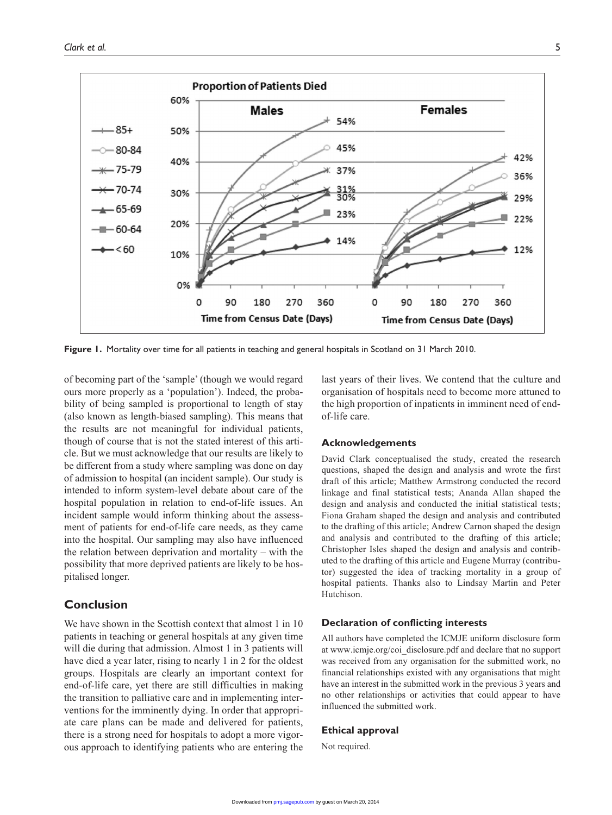

**Figure 1.** Mortality over time for all patients in teaching and general hospitals in Scotland on 31 March 2010.

of becoming part of the 'sample' (though we would regard ours more properly as a 'population'). Indeed, the probability of being sampled is proportional to length of stay (also known as length-biased sampling). This means that the results are not meaningful for individual patients, though of course that is not the stated interest of this article. But we must acknowledge that our results are likely to be different from a study where sampling was done on day of admission to hospital (an incident sample). Our study is intended to inform system-level debate about care of the hospital population in relation to end-of-life issues. An incident sample would inform thinking about the assessment of patients for end-of-life care needs, as they came into the hospital. Our sampling may also have influenced the relation between deprivation and mortality – with the possibility that more deprived patients are likely to be hospitalised longer.

# **Conclusion**

We have shown in the Scottish context that almost 1 in 10 patients in teaching or general hospitals at any given time will die during that admission. Almost 1 in 3 patients will have died a year later, rising to nearly 1 in 2 for the oldest groups. Hospitals are clearly an important context for end-of-life care, yet there are still difficulties in making the transition to palliative care and in implementing interventions for the imminently dying. In order that appropriate care plans can be made and delivered for patients, there is a strong need for hospitals to adopt a more vigorous approach to identifying patients who are entering the last years of their lives. We contend that the culture and organisation of hospitals need to become more attuned to the high proportion of inpatients in imminent need of endof-life care.

## **Acknowledgements**

David Clark conceptualised the study, created the research questions, shaped the design and analysis and wrote the first draft of this article; Matthew Armstrong conducted the record linkage and final statistical tests; Ananda Allan shaped the design and analysis and conducted the initial statistical tests; Fiona Graham shaped the design and analysis and contributed to the drafting of this article; Andrew Carnon shaped the design and analysis and contributed to the drafting of this article; Christopher Isles shaped the design and analysis and contributed to the drafting of this article and Eugene Murray (contributor) suggested the idea of tracking mortality in a group of hospital patients. Thanks also to Lindsay Martin and Peter Hutchison.

### **Declaration of conflicting interests**

All authors have completed the ICMJE uniform disclosure form at www.icmje.org/coi\_disclosure.pdf and declare that no support was received from any organisation for the submitted work, no financial relationships existed with any organisations that might have an interest in the submitted work in the previous 3 years and no other relationships or activities that could appear to have influenced the submitted work.

#### **Ethical approval**

Not required.